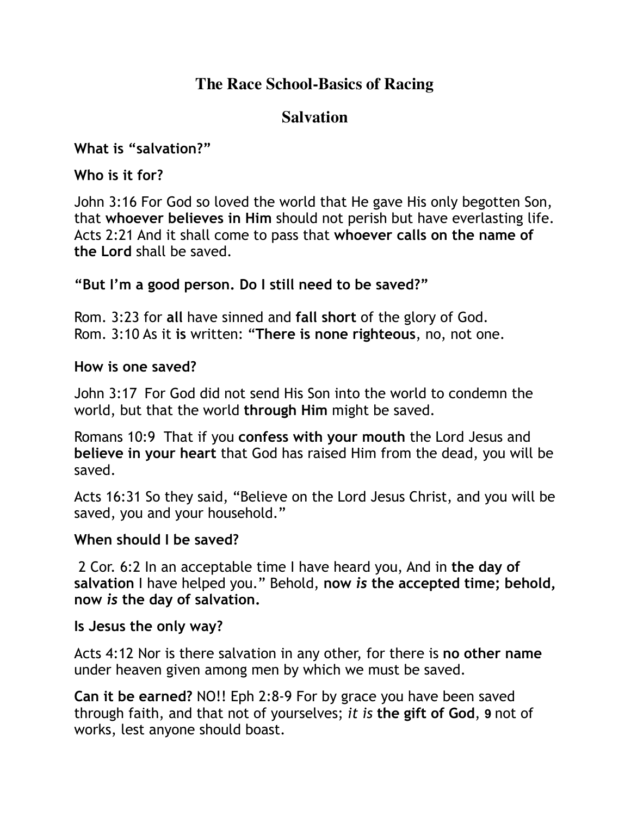## **The Race School-Basics of Racing**

# **Salvation**

**What is "salvation?"**

**Who is it for?**

John 3:16 For God so loved the world that He gave His only begotten Son, that **whoever believes in Him** should not perish but have everlasting life. Acts 2:21 And it shall come to pass that **whoever calls on the name of the Lord** shall be saved.

**"But I'm a good person. Do I still need to be saved?"**

Rom. 3:23 for **all** have sinned and **fall short** of the glory of God. Rom. 3:10 As it **is** written: "**There is none righteous**, no, not one.

### **How is one saved?**

John 3:17 For God did not send His Son into the world to condemn the world, but that the world **through Him** might be saved.

Romans 10:9 That if you **confess with your mouth** the Lord Jesus and **believe in your heart** that God has raised Him from the dead, you will be saved.

Acts 16:31 So they said, "Believe on the Lord Jesus Christ, and you will be saved, you and your household."

### **When should I be saved?**

 2 Cor. 6:2 In an acceptable time I have heard you, And in **the day of salvation** I have helped you." Behold, **now** *is* **the accepted time; behold, now** *is* **the day of salvation.**

### **Is Jesus the only way?**

Acts 4:12 Nor is there salvation in any other, for there is **no other name** under heaven given among men by which we must be saved.

**Can it be earned?** NO!! Eph 2:8-9 For by grace you have been saved through faith, and that not of yourselves; *it is* **the gift of God**, **9** not of works, lest anyone should boast.